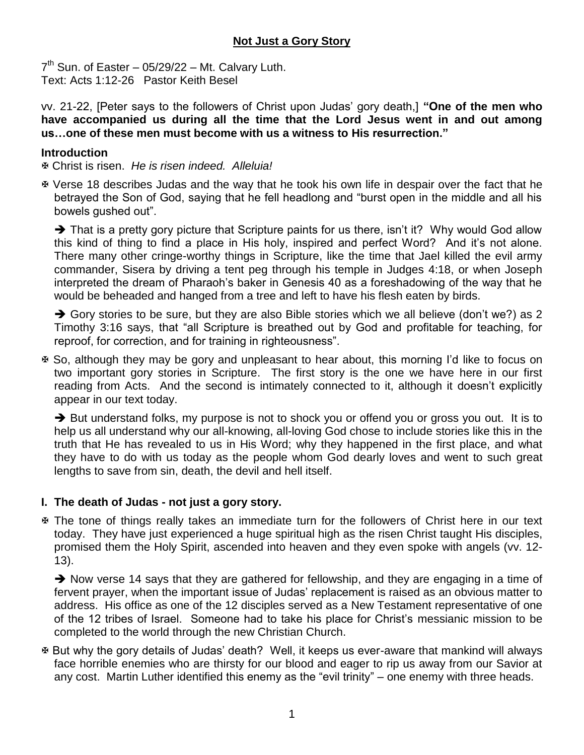# **Not Just a Gory Story**

 $7<sup>th</sup>$  Sun. of Easter – 05/29/22 – Mt. Calvary Luth. Text: Acts 1:12-26 Pastor Keith Besel

vv. 21-22, [Peter says to the followers of Christ upon Judas' gory death,] **"One of the men who have accompanied us during all the time that the Lord Jesus went in and out among us…one of these men must become with us a witness to His resurrection."**

### **Introduction**

Christ is risen. *He is risen indeed. Alleluia!*

 Verse 18 describes Judas and the way that he took his own life in despair over the fact that he betrayed the Son of God, saying that he fell headlong and "burst open in the middle and all his bowels gushed out".

 $\rightarrow$  That is a pretty gory picture that Scripture paints for us there, isn't it? Why would God allow this kind of thing to find a place in His holy, inspired and perfect Word? And it's not alone. There many other cringe-worthy things in Scripture, like the time that Jael killed the evil army commander, Sisera by driving a tent peg through his temple in Judges 4:18, or when Joseph interpreted the dream of Pharaoh's baker in Genesis 40 as a foreshadowing of the way that he would be beheaded and hanged from a tree and left to have his flesh eaten by birds.

 $\rightarrow$  Gory stories to be sure, but they are also Bible stories which we all believe (don't we?) as 2 Timothy 3:16 says, that "all Scripture is breathed out by God and profitable for teaching, for reproof, for correction, and for training in righteousness".

 So, although they may be gory and unpleasant to hear about, this morning I'd like to focus on two important gory stories in Scripture. The first story is the one we have here in our first reading from Acts. And the second is intimately connected to it, although it doesn't explicitly appear in our text today.

 $\rightarrow$  But understand folks, my purpose is not to shock you or offend you or gross you out. It is to help us all understand why our all-knowing, all-loving God chose to include stories like this in the truth that He has revealed to us in His Word; why they happened in the first place, and what they have to do with us today as the people whom God dearly loves and went to such great lengths to save from sin, death, the devil and hell itself.

### **I. The death of Judas - not just a gory story.**

 The tone of things really takes an immediate turn for the followers of Christ here in our text today. They have just experienced a huge spiritual high as the risen Christ taught His disciples, promised them the Holy Spirit, ascended into heaven and they even spoke with angels (vv. 12- 13).

 $\rightarrow$  Now verse 14 says that they are gathered for fellowship, and they are engaging in a time of fervent prayer, when the important issue of Judas' replacement is raised as an obvious matter to address. His office as one of the 12 disciples served as a New Testament representative of one of the 12 tribes of Israel. Someone had to take his place for Christ's messianic mission to be completed to the world through the new Christian Church.

 But why the gory details of Judas' death? Well, it keeps us ever-aware that mankind will always face horrible enemies who are thirsty for our blood and eager to rip us away from our Savior at any cost. Martin Luther identified this enemy as the "evil trinity" – one enemy with three heads.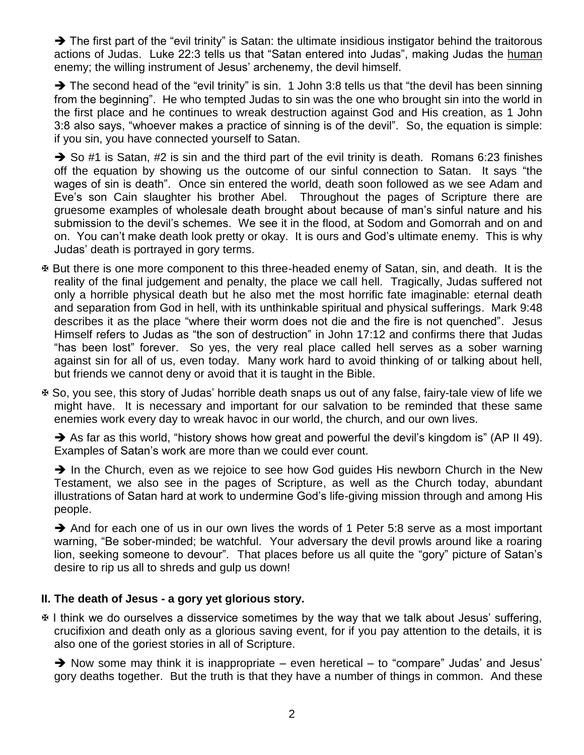$\rightarrow$  The first part of the "evil trinity" is Satan: the ultimate insidious instigator behind the traitorous actions of Judas. Luke 22:3 tells us that "Satan entered into Judas", making Judas the human enemy; the willing instrument of Jesus' archenemy, the devil himself.

The second head of the "evil trinity" is sin. 1 John 3:8 tells us that "the devil has been sinning from the beginning". He who tempted Judas to sin was the one who brought sin into the world in the first place and he continues to wreak destruction against God and His creation, as 1 John 3:8 also says, "whoever makes a practice of sinning is of the devil". So, the equation is simple: if you sin, you have connected yourself to Satan.

 $\rightarrow$  So #1 is Satan, #2 is sin and the third part of the evil trinity is death. Romans 6:23 finishes off the equation by showing us the outcome of our sinful connection to Satan. It says "the wages of sin is death". Once sin entered the world, death soon followed as we see Adam and Eve's son Cain slaughter his brother Abel. Throughout the pages of Scripture there are gruesome examples of wholesale death brought about because of man's sinful nature and his submission to the devil's schemes. We see it in the flood, at Sodom and Gomorrah and on and on. You can't make death look pretty or okay. It is ours and God's ultimate enemy. This is why Judas' death is portrayed in gory terms.

- But there is one more component to this three-headed enemy of Satan, sin, and death. It is the reality of the final judgement and penalty, the place we call hell. Tragically, Judas suffered not only a horrible physical death but he also met the most horrific fate imaginable: eternal death and separation from God in hell, with its unthinkable spiritual and physical sufferings. Mark 9:48 describes it as the place "where their worm does not die and the fire is not quenched". Jesus Himself refers to Judas as "the son of destruction" in John 17:12 and confirms there that Judas "has been lost" forever. So yes, the very real place called hell serves as a sober warning against sin for all of us, even today. Many work hard to avoid thinking of or talking about hell, but friends we cannot deny or avoid that it is taught in the Bible.
- So, you see, this story of Judas' horrible death snaps us out of any false, fairy-tale view of life we might have. It is necessary and important for our salvation to be reminded that these same enemies work every day to wreak havoc in our world, the church, and our own lives.

 $\rightarrow$  As far as this world, "history shows how great and powerful the devil's kingdom is" (AP II 49). Examples of Satan's work are more than we could ever count.

 $\rightarrow$  In the Church, even as we rejoice to see how God quides His newborn Church in the New Testament, we also see in the pages of Scripture, as well as the Church today, abundant illustrations of Satan hard at work to undermine God's life-giving mission through and among His people.

 $\rightarrow$  And for each one of us in our own lives the words of 1 Peter 5:8 serve as a most important warning, "Be sober-minded; be watchful. Your adversary the devil prowls around like a roaring lion, seeking someone to devour". That places before us all quite the "gory" picture of Satan's desire to rip us all to shreds and gulp us down!

## **II. The death of Jesus - a gory yet glorious story.**

 $\overline{x}$  I think we do ourselves a disservice sometimes by the way that we talk about Jesus' suffering, crucifixion and death only as a glorious saving event, for if you pay attention to the details, it is also one of the goriest stories in all of Scripture.

 $\rightarrow$  Now some may think it is inappropriate – even heretical – to "compare" Judas' and Jesus' gory deaths together. But the truth is that they have a number of things in common. And these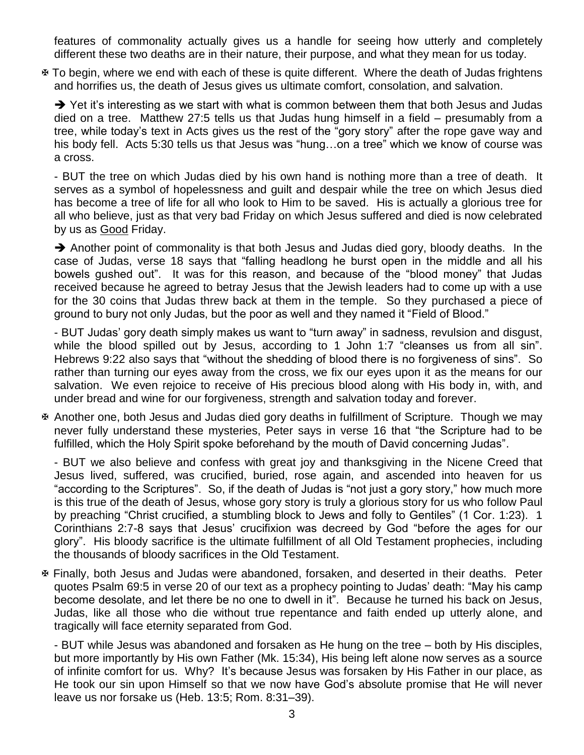features of commonality actually gives us a handle for seeing how utterly and completely different these two deaths are in their nature, their purpose, and what they mean for us today.

 To begin, where we end with each of these is quite different. Where the death of Judas frightens and horrifies us, the death of Jesus gives us ultimate comfort, consolation, and salvation.

 $\rightarrow$  Yet it's interesting as we start with what is common between them that both Jesus and Judas died on a tree. Matthew 27:5 tells us that Judas hung himself in a field – presumably from a tree, while today's text in Acts gives us the rest of the "gory story" after the rope gave way and his body fell. Acts 5:30 tells us that Jesus was "hung...on a tree" which we know of course was a cross.

- BUT the tree on which Judas died by his own hand is nothing more than a tree of death. It serves as a symbol of hopelessness and guilt and despair while the tree on which Jesus died has become a tree of life for all who look to Him to be saved. His is actually a glorious tree for all who believe, just as that very bad Friday on which Jesus suffered and died is now celebrated by us as Good Friday.

 $\rightarrow$  Another point of commonality is that both Jesus and Judas died gory, bloody deaths. In the case of Judas, verse 18 says that "falling headlong he burst open in the middle and all his bowels gushed out". It was for this reason, and because of the "blood money" that Judas received because he agreed to betray Jesus that the Jewish leaders had to come up with a use for the 30 coins that Judas threw back at them in the temple. So they purchased a piece of ground to bury not only Judas, but the poor as well and they named it "Field of Blood."

- BUT Judas' gory death simply makes us want to "turn away" in sadness, revulsion and disgust, while the blood spilled out by Jesus, according to 1 John 1:7 "cleanses us from all sin". Hebrews 9:22 also says that "without the shedding of blood there is no forgiveness of sins". So rather than turning our eyes away from the cross, we fix our eyes upon it as the means for our salvation. We even rejoice to receive of His precious blood along with His body in, with, and under bread and wine for our forgiveness, strength and salvation today and forever.

 Another one, both Jesus and Judas died gory deaths in fulfillment of Scripture. Though we may never fully understand these mysteries, Peter says in verse 16 that "the Scripture had to be fulfilled, which the Holy Spirit spoke beforehand by the mouth of David concerning Judas".

- BUT we also believe and confess with great joy and thanksgiving in the Nicene Creed that Jesus lived, suffered, was crucified, buried, rose again, and ascended into heaven for us "according to the Scriptures". So, if the death of Judas is "not just a gory story," how much more is this true of the death of Jesus, whose gory story is truly a glorious story for us who follow Paul by preaching "Christ crucified, a stumbling block to Jews and folly to Gentiles" (1 Cor. 1:23). 1 Corinthians 2:7-8 says that Jesus' crucifixion was decreed by God "before the ages for our glory". His bloody sacrifice is the ultimate fulfillment of all Old Testament prophecies, including the thousands of bloody sacrifices in the Old Testament.

 Finally, both Jesus and Judas were abandoned, forsaken, and deserted in their deaths. Peter quotes Psalm 69:5 in verse 20 of our text as a prophecy pointing to Judas' death: "May his camp become desolate, and let there be no one to dwell in it". Because he turned his back on Jesus, Judas, like all those who die without true repentance and faith ended up utterly alone, and tragically will face eternity separated from God.

- BUT while Jesus was abandoned and forsaken as He hung on the tree – both by His disciples, but more importantly by His own Father (Mk. 15:34), His being left alone now serves as a source of infinite comfort for us. Why? It's because Jesus was forsaken by His Father in our place, as He took our sin upon Himself so that we now have God's absolute promise that He will never leave us nor forsake us (Heb. 13:5; Rom. 8:31–39).